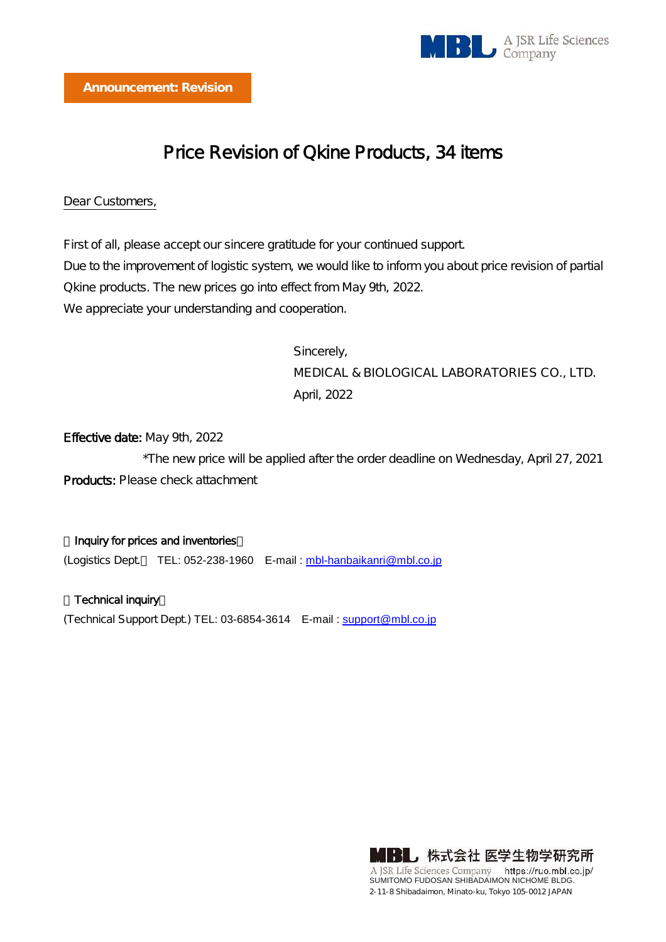

# Price Revision of Qkine Products, 34 items

#### Dear Customers,

First of all, please accept our sincere gratitude for your continued support. Due to the improvement of logistic system, we would like to inform you about price revision of partial Qkine products. The new prices go into effect from May 9th, 2022. We appreciate your understanding and cooperation.

> Sincerely, MEDICAL & BIOLOGICAL LABORATORIES CO., LTD. April, 2022

## Effective date: May 9th, 2022

\*The new price will be applied after the order deadline on Wednesday, April 27, 2021 Products: Please check attachment

#### Inquiry for prices and inventories

(Logistics Dept. TEL: 052-238-1960 E-mail : [mbl-hanbaikanri@mbl.co.jp](mailto:mbl-hanbaikanri@mbl.co.jp)

Technical inquiry (Technical Support Dept.) TEL: 03-6854-3614 E-mail : [support@mbl.co.jp](mailto:support@mbl.co.jp)

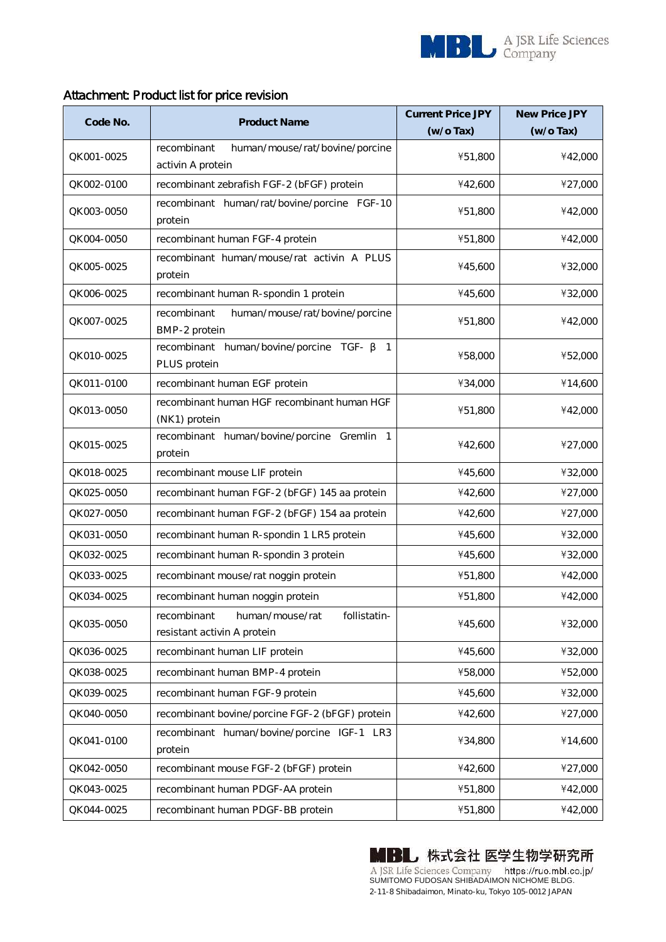

## Attachment: Product list for price revision

| Code No.    | <b>Product Name</b>                                                           | <b>Current Price JPY</b> | <b>New Price JPY</b> |
|-------------|-------------------------------------------------------------------------------|--------------------------|----------------------|
|             |                                                                               | $(w/o\, Tax)$            | $(w/o\, Tax)$        |
| QK 001-0025 | recombinant<br>human/mouse/rat/bovine/porcine<br>activin A protein            | ¥51,800                  | ¥42,000              |
| QK 002-0100 | recombinant zebrafish FGF-2 (bFGF) protein                                    | ¥42,600                  | ¥27,000              |
| QK003-0050  | recombinant human/rat/bovine/porcine FGF-10<br>protein                        | ¥51,800                  | ¥42,000              |
| QK 004-0050 | recombinant human FGF-4 protein                                               | ¥51,800                  | ¥42,000              |
| QK 005-0025 | recombinant human/mouse/rat activin A PLUS<br>protein                         | ¥45,600                  | ¥32,000              |
| QK006-0025  | recombinant human R-spondin 1 protein                                         | ¥45,600                  | ¥32,000              |
| QK 007-0025 | human/mouse/rat/bovine/porcine<br>recombinant<br>BMP-2 protein                | ¥51,800                  | ¥42,000              |
| QK 010-0025 | recombinant human/bovine/porcine<br>TGF-<br>1<br>PLUS protein                 | ¥58,000                  | ¥52,000              |
| QK011-0100  | recombinant human EGF protein                                                 | ¥34,000                  | ¥14,600              |
| QK 013-0050 | recombinant human HGF recombinant human HGF<br>(NK1) protein                  | ¥51,800                  | ¥42,000              |
| QK 015-0025 | recombinant human/bovine/porcine Gremlin 1<br>protein                         | ¥42,600                  | ¥27,000              |
| QK 018-0025 | recombinant mouse LIF protein                                                 | ¥45,600                  | ¥32,000              |
| QK 025-0050 | recombinant human FGF-2 (bFGF) 145 aa protein                                 | ¥42,600                  | ¥27,000              |
| QK 027-0050 | recombinant human FGF-2 (bFGF) 154 aa protein                                 | ¥42,600                  | ¥27,000              |
| QK 031-0050 | recombinant human R-spondin 1 LR5 protein                                     | ¥45,600                  | ¥32,000              |
| QK 032-0025 | recombinant human R-spondin 3 protein                                         | ¥45,600                  | ¥32,000              |
| QK 033-0025 | recombinant mouse/rat noggin protein                                          | ¥51,800                  | ¥42,000              |
| QK 034-0025 | recombinant human noggin protein                                              | ¥51,800                  | ¥42,000              |
| QK 035-0050 | recombinant<br>human/mouse/rat<br>follistatin-<br>resistant activin A protein | ¥45,600                  | ¥32,000              |
| QK 036-0025 | recombinant human LIF protein                                                 | ¥45,600                  | ¥32,000              |
| QK 038-0025 | recombinant human BMP-4 protein                                               | ¥58,000                  | ¥52,000              |
| QK 039-0025 | recombinant human FGF-9 protein                                               | ¥45,600                  | ¥32,000              |
| QK 040-0050 | recombinant bovine/porcine FGF-2 (bFGF) protein                               | ¥42,600                  | ¥27,000              |
| QK041-0100  | recombinant human/bovine/porcine IGF-1 LR3<br>protein                         | ¥34,800                  | ¥14,600              |
| QK 042-0050 | recombinant mouse FGF-2 (bFGF) protein                                        | ¥42,600                  | ¥27,000              |
| QK043-0025  | recombinant human PDGF-AA protein                                             | ¥51,800                  | ¥42,000              |
| QK044-0025  | recombinant human PDGF-BB protein                                             | ¥51,800                  | ¥42,000              |

**MBL** 株式会社 医学生物学研究所 A JSR Life Sciences Company https://ruo.mbl.co.jp/<br>SUMITOMO FUDOSAN SHIBADAIMON NICHOME BLDG. 2-11-8 Shibadaimon, Minato-ku, Tokyo 105-0012 JAPAN